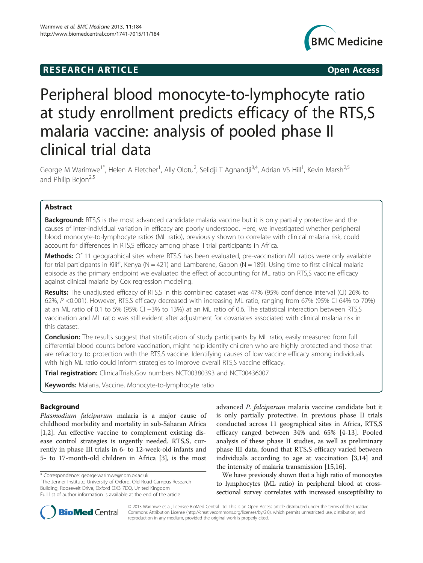## **RESEARCH ARTICLE Example 2018 CONSIDERING CONSIDERING CONSIDERING CONSIDERING CONSIDERING CONSIDERING CONSIDERING CONSIDERING CONSIDERING CONSIDERING CONSIDERING CONSIDERING CONSIDERING CONSIDERING CONSIDERING CONSIDE**



# Peripheral blood monocyte-to-lymphocyte ratio at study enrollment predicts efficacy of the RTS,S malaria vaccine: analysis of pooled phase II clinical trial data

George M Warimwe<sup>1\*</sup>, Helen A Fletcher<sup>1</sup>, Ally Olotu<sup>2</sup>, Selidji T Agnandji<sup>3,4</sup>, Adrian VS Hill<sup>1</sup>, Kevin Marsh<sup>2,5</sup> and Philip Bejon<sup>2,5</sup>

## Abstract

Background: RTS,S is the most advanced candidate malaria vaccine but it is only partially protective and the causes of inter-individual variation in efficacy are poorly understood. Here, we investigated whether peripheral blood monocyte-to-lymphocyte ratios (ML ratio), previously shown to correlate with clinical malaria risk, could account for differences in RTS,S efficacy among phase II trial participants in Africa.

Methods: Of 11 geographical sites where RTS,S has been evaluated, pre-vaccination ML ratios were only available for trial participants in Kilifi, Kenya ( $N = 421$ ) and Lambarene, Gabon ( $N = 189$ ). Using time to first clinical malaria episode as the primary endpoint we evaluated the effect of accounting for ML ratio on RTS,S vaccine efficacy against clinical malaria by Cox regression modeling.

Results: The unadjusted efficacy of RTS,S in this combined dataset was 47% (95% confidence interval (CI) 26% to 62%, P <0.001). However, RTS,S efficacy decreased with increasing ML ratio, ranging from 67% (95% CI 64% to 70%) at an ML ratio of 0.1 to 5% (95% CI −3% to 13%) at an ML ratio of 0.6. The statistical interaction between RTS,S vaccination and ML ratio was still evident after adjustment for covariates associated with clinical malaria risk in this dataset.

**Conclusion:** The results suggest that stratification of study participants by ML ratio, easily measured from full differential blood counts before vaccination, might help identify children who are highly protected and those that are refractory to protection with the RTS,S vaccine. Identifying causes of low vaccine efficacy among individuals with high ML ratio could inform strategies to improve overall RTS,S vaccine efficacy.

**Trial registration:** ClinicalTrials.Gov numbers [NCT00380393](http://www.clinicaltrials.gov/ct2/show/NCT00380393) and [NCT00436007](http://www.clinicaltrials.gov/ct2/show/NCT00436007)

Keywords: Malaria, Vaccine, Monocyte-to-lymphocyte ratio

## Background

Plasmodium falciparum malaria is a major cause of childhood morbidity and mortality in sub-Saharan Africa [[1,2\]](#page-4-0). An effective vaccine to complement existing disease control strategies is urgently needed. RTS,S, currently in phase III trials in 6- to 12-week-old infants and 5- to 17-month-old children in Africa [\[3](#page-4-0)], is the most

<sup>1</sup>The Jenner Institute, University of Oxford, Old Road Campus Research Building, Roosevelt Drive, Oxford OX3 7DQ, United Kingdom Full list of author information is available at the end of the article

advanced P. falciparum malaria vaccine candidate but it is only partially protective. In previous phase II trials conducted across 11 geographical sites in Africa, RTS,S efficacy ranged between 34% and 65% [\[4](#page-4-0)-[13\]](#page-5-0). Pooled analysis of these phase II studies, as well as preliminary phase III data, found that RTS,S efficacy varied between individuals according to age at vaccination [\[3](#page-4-0)[,14](#page-5-0)] and the intensity of malaria transmission [\[15,16](#page-5-0)].

We have previously shown that a high ratio of monocytes to lymphocytes (ML ratio) in peripheral blood at crosssectional survey correlates with increased susceptibility to



© 2013 Warimwe et al.; licensee BioMed Central Ltd. This is an Open Access article distributed under the terms of the Creative Commons Attribution License [\(http://creativecommons.org/licenses/by/2.0\)](http://creativecommons.org/licenses/by/2.0), which permits unrestricted use, distribution, and reproduction in any medium, provided the original work is properly cited.

<sup>\*</sup> Correspondence: [george.warimwe@ndm.ox.ac.uk](mailto:george.warimwe@ndm.ox.ac.uk) <sup>1</sup>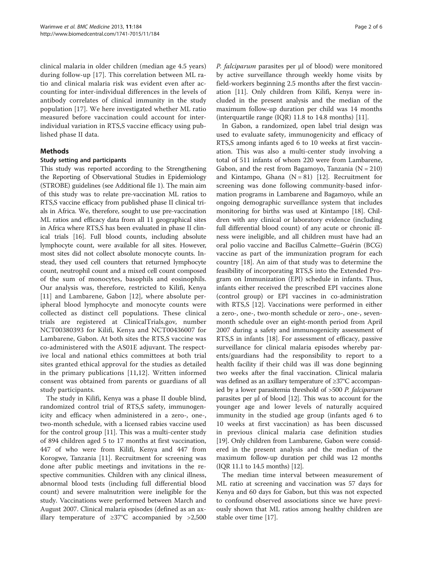clinical malaria in older children (median age 4.5 years) during follow-up [[17](#page-5-0)]. This correlation between ML ratio and clinical malaria risk was evident even after accounting for inter-individual differences in the levels of antibody correlates of clinical immunity in the study population [[17\]](#page-5-0). We here investigated whether ML ratio measured before vaccination could account for interindividual variation in RTS,S vaccine efficacy using published phase II data.

### Methods

#### Study setting and participants

This study was reported according to the Strengthening the Reporting of Observational Studies in Epidemiology (STROBE) guidelines (see Additional file [1](#page-4-0)). The main aim of this study was to relate pre-vaccination ML ratios to RTS,S vaccine efficacy from published phase II clinical trials in Africa. We, therefore, sought to use pre-vaccination ML ratios and efficacy data from all 11 geographical sites in Africa where RTS,S has been evaluated in phase II clinical trials [[16\]](#page-5-0). Full blood counts, including absolute lymphocyte count, were available for all sites. However, most sites did not collect absolute monocyte counts. Instead, they used cell counters that returned lymphocyte count, neutrophil count and a mixed cell count composed of the sum of monocytes, basophils and eosinophils. Our analysis was, therefore, restricted to Kilifi, Kenya [[11\]](#page-5-0) and Lambarene, Gabon [\[12\]](#page-5-0), where absolute peripheral blood lymphocyte and monocyte counts were collected as distinct cell populations. These clinical trials are registered at ClinicalTrials.gov, number NCT00380393 for Kilifi, Kenya and NCT00436007 for Lambarene, Gabon. At both sites the RTS,S vaccine was co-administered with the AS01E adjuvant. The respective local and national ethics committees at both trial sites granted ethical approval for the studies as detailed in the primary publications [[11,12\]](#page-5-0). Written informed consent was obtained from parents or guardians of all study participants.

The study in Kilifi, Kenya was a phase II double blind, randomized control trial of RTS,S safety, immunogenicity and efficacy when administered in a zero-, one-, two-month schedule, with a licensed rabies vaccine used for the control group [[11\]](#page-5-0). This was a multi-center study of 894 children aged 5 to 17 months at first vaccination, 447 of who were from Kilifi, Kenya and 447 from Korogwe, Tanzania [[11\]](#page-5-0). Recruitment for screening was done after public meetings and invitations in the respective communities. Children with any clinical illness, abnormal blood tests (including full differential blood count) and severe malnutrition were ineligible for the study. Vaccinations were performed between March and August 2007. Clinical malaria episodes (defined as an axillary temperature of ≥37°C accompanied by >2,500 P. falciparum parasites per μl of blood) were monitored by active surveillance through weekly home visits by field-workers beginning 2.5 months after the first vaccination [\[11\]](#page-5-0). Only children from Kilifi, Kenya were included in the present analysis and the median of the maximum follow-up duration per child was 14 months (interquartile range (IQR) 11.8 to 14.8 months) [\[11](#page-5-0)].

In Gabon, a randomized, open label trial design was used to evaluate safety, immunogenicity and efficacy of RTS,S among infants aged 6 to 10 weeks at first vaccination. This was also a multi-center study involving a total of 511 infants of whom 220 were from Lambarene, Gabon, and the rest from Bagamoyo, Tanzania  $(N = 210)$ and Kintampo, Ghana  $(N = 81)$  [\[12](#page-5-0)]. Recruitment for screening was done following community-based information programs in Lambarene and Bagamoyo, while an ongoing demographic surveillance system that includes monitoring for births was used at Kintampo [[18\]](#page-5-0). Children with any clinical or laboratory evidence (including full differential blood count) of any acute or chronic illness were ineligible, and all children must have had an oral polio vaccine and Bacillus Calmette–Guérin (BCG) vaccine as part of the immunization program for each country [[18\]](#page-5-0). An aim of that study was to determine the feasibility of incorporating RTS,S into the Extended Program on Immunization (EPI) schedule in infants. Thus, infants either received the prescribed EPI vaccines alone (control group) or EPI vaccines in co-administration with RTS,S [\[12](#page-5-0)]. Vaccinations were performed in either a zero-, one-, two-month schedule or zero-, one-, sevenmonth schedule over an eight-month period from April 2007 during a safety and immunogenicity assessment of RTS,S in infants [\[18](#page-5-0)]. For assessment of efficacy, passive surveillance for clinical malaria episodes whereby parents/guardians had the responsibility to report to a health facility if their child was ill was done beginning two weeks after the final vaccination. Clinical malaria was defined as an axillary temperature of ≥37°C accompanied by a lower parasitemia threshold of >500 P. falciparum parasites per μl of blood [\[12\]](#page-5-0). This was to account for the younger age and lower levels of naturally acquired immunity in the studied age group (infants aged 6 to 10 weeks at first vaccination) as has been discussed in previous clinical malaria case definition studies [[19](#page-5-0)]. Only children from Lambarene, Gabon were considered in the present analysis and the median of the maximum follow-up duration per child was 12 months (IQR 11.1 to 14.5 months) [\[12\]](#page-5-0).

The median time interval between measurement of ML ratio at screening and vaccination was 57 days for Kenya and 60 days for Gabon, but this was not expected to confound observed associations since we have previously shown that ML ratios among healthy children are stable over time [\[17\]](#page-5-0).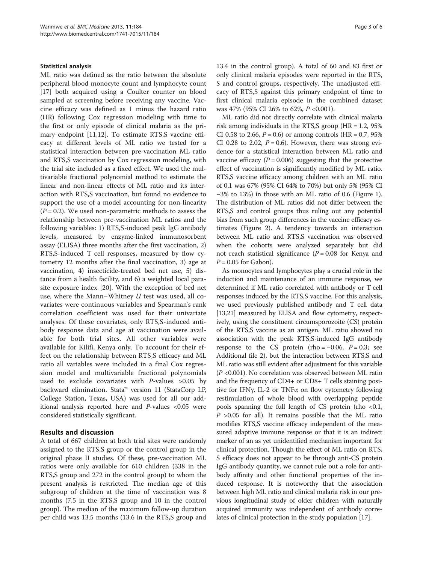#### Statistical analysis

ML ratio was defined as the ratio between the absolute peripheral blood monocyte count and lymphocyte count [[17\]](#page-5-0) both acquired using a Coulter counter on blood sampled at screening before receiving any vaccine. Vaccine efficacy was defined as 1 minus the hazard ratio (HR) following Cox regression modeling with time to the first or only episode of clinical malaria as the pri-mary endpoint [[11](#page-5-0),[12](#page-5-0)]. To estimate RTS,S vaccine efficacy at different levels of ML ratio we tested for a statistical interaction between pre-vaccination ML ratio and RTS,S vaccination by Cox regression modeling, with the trial site included as a fixed effect. We used the multivariable fractional polynomial method to estimate the linear and non-linear effects of ML ratio and its interaction with RTS,S vaccination, but found no evidence to support the use of a model accounting for non-linearity  $(P = 0.2)$ . We used non-parametric methods to assess the relationship between pre-vaccination ML ratios and the following variables: 1) RTS,S-induced peak IgG antibody levels, measured by enzyme-linked immunosorbent assay (ELISA) three months after the first vaccination, 2) RTS,S-induced T cell responses, measured by flow cytometry 12 months after the final vaccination, 3) age at vaccination, 4) insecticide-treated bed net use, 5) distance from a health facility, and 6) a weighted local parasite exposure index [[20\]](#page-5-0). With the exception of bed net use, where the Mann–Whitney  $U$  test was used, all covariates were continuous variables and Spearman's rank correlation coefficient was used for their univariate analyses. Of these covariates, only RTS,S-induced antibody response data and age at vaccination were available for both trial sites. All other variables were available for Kilifi, Kenya only. To account for their effect on the relationship between RTS,S efficacy and ML ratio all variables were included in a final Cox regression model and multivariable fractional polynomials used to exclude covariates with  $P$ -values >0.05 by backward elimination. Stata™ version 11 (StataCorp LP, College Station, Texas, USA) was used for all our additional analysis reported here and P-values <0.05 were considered statistically significant.

#### Results and discussion

A total of 667 children at both trial sites were randomly assigned to the RTS,S group or the control group in the original phase II studies. Of these, pre-vaccination ML ratios were only available for 610 children (338 in the RTS,S group and 272 in the control group) to whom the present analysis is restricted. The median age of this subgroup of children at the time of vaccination was 8 months (7.5 in the RTS,S group and 10 in the control group). The median of the maximum follow-up duration per child was 13.5 months (13.6 in the RTS,S group and

13.4 in the control group). A total of 60 and 83 first or only clinical malaria episodes were reported in the RTS, S and control groups, respectively. The unadjusted efficacy of RTS,S against this primary endpoint of time to first clinical malaria episode in the combined dataset was 47% (95% CI 26% to 62%, P <0.001).

ML ratio did not directly correlate with clinical malaria risk among individuals in the RTS,S group (HR = 1.2, 95% CI 0.58 to 2.66,  $P = 0.6$ ) or among controls (HR = 0.7, 95%) CI 0.28 to 2.02,  $P = 0.6$ ). However, there was strong evidence for a statistical interaction between ML ratio and vaccine efficacy ( $P = 0.006$ ) suggesting that the protective effect of vaccination is significantly modified by ML ratio. RTS,S vaccine efficacy among children with an ML ratio of 0.1 was 67% (95% CI 64% to 70%) but only 5% (95% CI −3% to 13%) in those with an ML ratio of 0.6 (Figure [1](#page-3-0)). The distribution of ML ratios did not differ between the RTS,S and control groups thus ruling out any potential bias from such group differences in the vaccine efficacy estimates (Figure [2\)](#page-3-0). A tendency towards an interaction between ML ratio and RTS,S vaccination was observed when the cohorts were analyzed separately but did not reach statistical significance ( $P = 0.08$  for Kenya and  $P = 0.05$  for Gabon).

As monocytes and lymphocytes play a crucial role in the induction and maintenance of an immune response, we determined if ML ratio correlated with antibody or T cell responses induced by the RTS,S vaccine. For this analysis, we used previously published antibody and T cell data [[13,21](#page-5-0)] measured by ELISA and flow cytometry, respectively, using the constituent circumsporozoite (CS) protein of the RTS,S vaccine as an antigen. ML ratio showed no association with the peak RTS,S-induced IgG antibody response to the CS protein (rho =  $-0.06$ ,  $P = 0.3$ ; see Additional file [2\)](#page-4-0), but the interaction between RTS,S and ML ratio was still evident after adjustment for this variable (P <0.001). No correlation was observed between ML ratio and the frequency of CD4+ or CD8+ T cells staining positive for IFNγ, IL-2 or TNFα on flow cytometry following restimulation of whole blood with overlapping peptide pools spanning the full length of CS protein (rho <0.1,  $P > 0.05$  for all). It remains possible that the ML ratio modifies RTS,S vaccine efficacy independent of the measured adaptive immune response or that it is an indirect marker of an as yet unidentified mechanism important for clinical protection. Though the effect of ML ratio on RTS, S efficacy does not appear to be through anti-CS protein IgG antibody quantity, we cannot rule out a role for antibody affinity and other functional properties of the induced response. It is noteworthy that the association between high ML ratio and clinical malaria risk in our previous longitudinal study of older children with naturally acquired immunity was independent of antibody correlates of clinical protection in the study population [[17](#page-5-0)].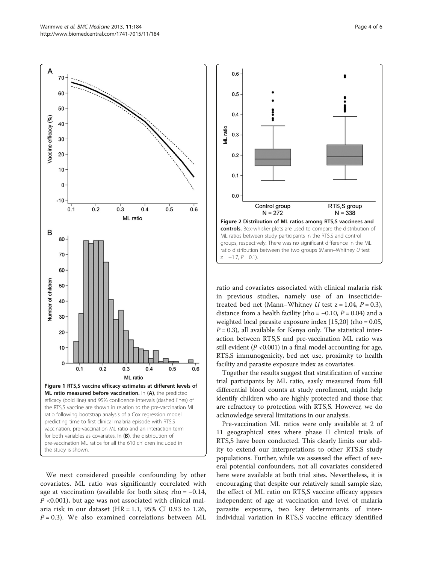<span id="page-3-0"></span>

We next considered possible confounding by other covariates. ML ratio was significantly correlated with age at vaccination (available for both sites; rho = −0.14,  $P \leq 0.001$ , but age was not associated with clinical malaria risk in our dataset (HR = 1.1, 95% CI 0.93 to 1.26,  $P = 0.3$ ). We also examined correlations between ML



ratio and covariates associated with clinical malaria risk in previous studies, namely use of an insecticidetreated bed net (Mann–Whitney  $U$  test  $z = 1.04$ ,  $P = 0.3$ ), distance from a health facility (rho =  $-0.10$ ,  $P = 0.04$ ) and a weighted local parasite exposure index [\[15,20](#page-5-0)] (rho = 0.05,  $P = 0.3$ ), all available for Kenya only. The statistical interaction between RTS,S and pre-vaccination ML ratio was still evident ( $P < 0.001$ ) in a final model accounting for age, RTS,S immunogenicity, bed net use, proximity to health facility and parasite exposure index as covariates.

Together the results suggest that stratification of vaccine trial participants by ML ratio, easily measured from full differential blood counts at study enrollment, might help identify children who are highly protected and those that are refractory to protection with RTS,S. However, we do acknowledge several limitations in our analysis.

Pre-vaccination ML ratios were only available at 2 of 11 geographical sites where phase II clinical trials of RTS,S have been conducted. This clearly limits our ability to extend our interpretations to other RTS,S study populations. Further, while we assessed the effect of several potential confounders, not all covariates considered here were available at both trial sites. Nevertheless, it is encouraging that despite our relatively small sample size, the effect of ML ratio on RTS,S vaccine efficacy appears independent of age at vaccination and level of malaria parasite exposure, two key determinants of interindividual variation in RTS,S vaccine efficacy identified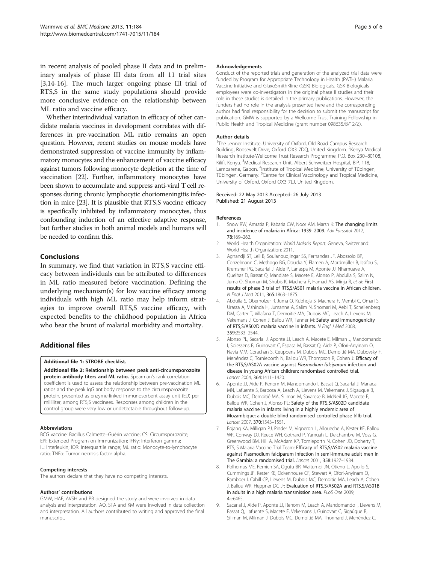<span id="page-4-0"></span>in recent analysis of pooled phase II data and in preliminary analysis of phase III data from all 11 trial sites [3,[14-16](#page-5-0)]. The much larger ongoing phase III trial of RTS,S in the same study populations should provide more conclusive evidence on the relationship between ML ratio and vaccine efficacy.

Whether interindividual variation in efficacy of other candidate malaria vaccines in development correlates with differences in pre-vaccination ML ratio remains an open question. However, recent studies on mouse models have demonstrated suppression of vaccine immunity by inflammatory monocytes and the enhancement of vaccine efficacy against tumors following monocyte depletion at the time of vaccination [[22](#page-5-0)]. Further, inflammatory monocytes have been shown to accumulate and suppress anti-viral T cell responses during chronic lymphocytic choriomeningitis infection in mice [\[23\]](#page-5-0). It is plausible that RTS,S vaccine efficacy is specifically inhibited by inflammatory monocytes, thus confounding induction of an effective adaptive response, but further studies in both animal models and humans will be needed to confirm this.

#### Conclusions

In summary, we find that variation in RTS,S vaccine efficacy between individuals can be attributed to differences in ML ratio measured before vaccination. Defining the underlying mechanism(s) for low vaccine efficacy among individuals with high ML ratio may help inform strategies to improve overall RTS,S vaccine efficacy, with expected benefits to the childhood population in Africa who bear the brunt of malarial morbidity and mortality.

## Additional files

#### [Additional file 1:](http://www.biomedcentral.com/content/supplementary/1741-7015-11-184-S1.doc) STROBE checklist.

[Additional file 2:](http://www.biomedcentral.com/content/supplementary/1741-7015-11-184-S2.tiff) Relationship between peak anti-circumsporozoite protein antibody titers and ML ratio. Spearman's rank correlation coefficient is used to assess the relationship between pre-vaccination ML ratios and the peak IgG antibody response to the circumsporozoite protein, presented as enzyme-linked immunosorbent assay unit (EU) per milliliter, among RTS,S vaccinees. Responses among children in the control group were very low or undetectable throughout follow-up.

#### Abbreviations

BCG vaccine: Bacillus Calmette–Guérin vaccine; CS: Circumsporozoite; EPI: Extended Program on Immunization; IFNγ: Interferon gamma; IL: Interleukin; IQR: Interquartile range; ML ratio: Monocyte-to-lymphocyte ratio; TNFα: Tumor necrosis factor alpha.

#### Competing interests

The authors declare that they have no competing interests.

#### Authors' contributions

GMW, HAF, AVSH and PB designed the study and were involved in data analysis and interpretation. AO, STA and KM were involved in data collection and interpretation. All authors contributed to writing and approved the final manuscript.

#### Acknowledgements

Conduct of the reported trials and generation of the analyzed trial data were funded by Program for Appropriate Technology in Health (PATH) Malaria Vaccine Initiative and GlaxoSmithKline (GSK) Biologicals. GSK Biologicals employees were co-investigators in the original phase II studies and their role in these studies is detailed in the primary publications. However, the funders had no role in the analysis presented here and the corresponding author had final responsibility for the decision to submit the manuscript for publication. GMW is supported by a Wellcome Trust Training Fellowship in Public Health and Tropical Medicine (grant number 098635/B/12/Z).

#### Author details

<sup>1</sup>The Jenner Institute, University of Oxford, Old Road Campus Research Building, Roosevelt Drive, Oxford OX3 7DQ, United Kingdom. <sup>2</sup>Kenya Medical Research Institute-Wellcome Trust Research Programme, P.O. Box 230–80108, Kilifi, Kenya. <sup>3</sup>Medical Research Unit, Albert Schweitzer Hospital, B.P. 118, Lambarene, Gabon. <sup>4</sup>Institute of Tropical Medicine, University of Tübingen, Tübingen, Germany. <sup>5</sup>Centre for Clinical Vaccinology and Tropical Medicine University of Oxford, Oxford OX3 7LJ, United Kingdom.

#### Received: 22 May 2013 Accepted: 26 July 2013 Published: 21 August 2013

#### References

- 1. Snow RW, Amratia P, Kabaria CW, Noor AM, Marsh K: The changing limits and incidence of malaria in Africa: 1939–2009. Adv Parasitol 2012, 78:169–262.
- 2. World Health Organization: World Malaria Report. Geneva, Switzerland: World Health Organization; 2011.
- 3. Agnandji ST, Lell B, Soulanoudjingar SS, Fernandes JF, Abossolo BP, Conzelmann C, Methogo BG, Doucka Y, Flamen A, Mordmüller B, Issifou S, Kremsner PG, Sacarlal J, Aide P, Lanaspa M, Aponte JJ, Nhamuave A, Quelhas D, Bassat Q, Mandjate S, Macete E, Alonso P, Abdulla S, Salim N, Juma O, Shomari M, Shubis K, Machera F, Hamad AS, Minja R, et al: First results of phase 3 trial of RTS,S/AS01 malaria vaccine in African children. N Engl J Med 2011, 365:1863–1875.
- 4. Abdulla S, Oberholzer R, Juma O, Kubhoja S, Machera F, Membi C, Omari S, Urassa A, Mshinda H, Jumanne A, Salim N, Shomari M, Aebi T, Schellenberg DM, Carter T, Villafana T, Demoitié MA, Dubois MC, Leach A, Lievens M, Vekemans J, Cohen J, Ballou WR, Tanner M: Safety and immunogenicity of RTS,S/AS02D malaria vaccine in infants. N Engl J Med 2008, 359:2533–2544.
- 5. Alonso PL, Sacarlal J, Aponte JJ, Leach A, Macete E, Milman J, Mandomando I, Spiessens B, Guinovart C, Espasa M, Bassat Q, Aide P, Ofori-Anyinam O, Navia MM, Corachan S, Ceuppens M, Dubois MC, Demoitié MA, Dubovsky F, Menéndez C, Tornieporth N, Ballou WR, Thompson R, Cohen J: Efficacy of the RTS,S/AS02A vaccine against Plasmodium falciparum infection and disease in young African children: randomised controlled trial. Lancet 2004, 364:1411–1420.
- 6. Aponte JJ, Aide P, Renom M, Mandomando I, Bassat Q, Sacarlal J, Manaca MN, Lafuente S, Barbosa A, Leach A, Lievens M, Vekemans J, Sigauque B, Dubois MC, Demoitié MA, Sillman M, Savarese B, McNeil JG, Macete E, Ballou WR, Cohen J, Alonso PL: Safety of the RTS, S/AS02D candidate malaria vaccine in infants living in a highly endemic area of Mozambique: a double blind randomised controlled phase I/IIb trial. Lancet 2007, 370:1543–1551.
- 7. Bojang KA, Milligan PJ, Pinder M, Vigneron L, Alloueche A, Kester KE, Ballou WR, Conway DJ, Reece WH, Gothard P, Yamuah L, Delchambre M, Voss G, Greenwood BM, Hill A, McAdam KP, Tornieporth N, Cohen JD, Doherty T, RTS, S Malaria Vaccine Trial Team: Efficacy of RTS,S/AS02 malaria vaccine against Plasmodium falciparum infection in semi-immune adult men in The Gambia: a randomised trial. Lancet 2001, 358:1927–1934.
- 8. Polhemus ME, Remich SA, Ogutu BR, Waitumbi JN, Otieno L, Apollo S, Cummings JF, Kester KE, Ockenhouse CF, Stewart A, Ofori-Anyinam O, Ramboer I, Cahill CP, Lievens M, Dubois MC, Demoitie MA, Leach A, Cohen J, Ballou WR, Heppner DG Jr: Evaluation of RTS, S/AS02A and RTS, S/AS01B in adults in a high malaria transmission area. PLoS One 2009, 4:e6465.
- 9. Sacarlal J, Aide P, Aponte JJ, Renom M, Leach A, Mandomando I, Lievens M, Bassat Q, Lafuente S, Macete E, Vekemans J, Guinovart C, Sigaúque B, Sillman M, Milman J, Dubois MC, Demoitié MA, Thonnard J, Menéndez C,